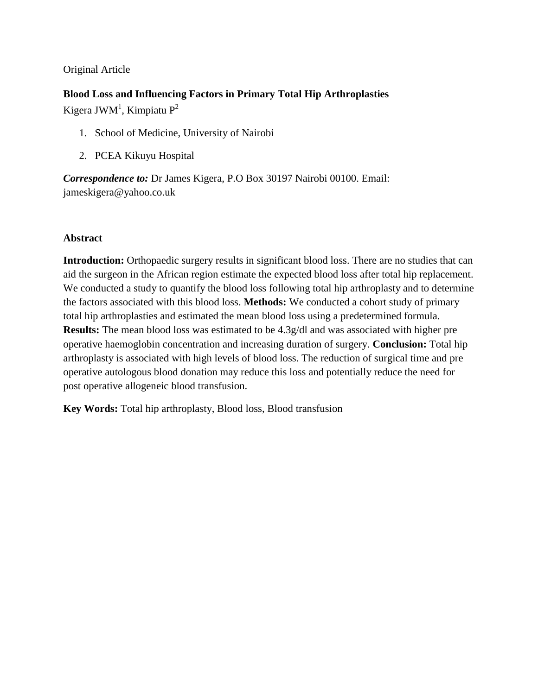## Original Article

# **Blood Loss and Influencing Factors in Primary Total Hip Arthroplasties** Kigera JWM<sup>1</sup>, Kimpiatu P<sup>2</sup>

- 1. School of Medicine, University of Nairobi
- 2. PCEA Kikuyu Hospital

*Correspondence to:* Dr James Kigera, P.O Box 30197 Nairobi 00100. Email: jameskigera@yahoo.co.uk

## **Abstract**

**Introduction:** Orthopaedic surgery results in significant blood loss. There are no studies that can aid the surgeon in the African region estimate the expected blood loss after total hip replacement. We conducted a study to quantify the blood loss following total hip arthroplasty and to determine the factors associated with this blood loss. **Methods:** We conducted a cohort study of primary total hip arthroplasties and estimated the mean blood loss using a predetermined formula. **Results:** The mean blood loss was estimated to be 4.3g/dl and was associated with higher pre operative haemoglobin concentration and increasing duration of surgery. **Conclusion:** Total hip arthroplasty is associated with high levels of blood loss. The reduction of surgical time and pre operative autologous blood donation may reduce this loss and potentially reduce the need for post operative allogeneic blood transfusion.

**Key Words:** Total hip arthroplasty, Blood loss, Blood transfusion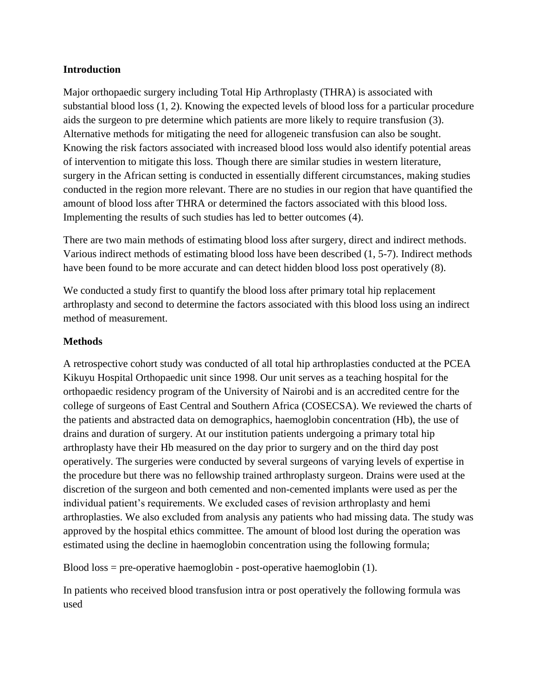#### **Introduction**

Major orthopaedic surgery including Total Hip Arthroplasty (THRA) is associated with substantial blood loss (1, 2). Knowing the expected levels of blood loss for a particular procedure aids the surgeon to pre determine which patients are more likely to require transfusion (3). Alternative methods for mitigating the need for allogeneic transfusion can also be sought. Knowing the risk factors associated with increased blood loss would also identify potential areas of intervention to mitigate this loss. Though there are similar studies in western literature, surgery in the African setting is conducted in essentially different circumstances, making studies conducted in the region more relevant. There are no studies in our region that have quantified the amount of blood loss after THRA or determined the factors associated with this blood loss. Implementing the results of such studies has led to better outcomes (4).

There are two main methods of estimating blood loss after surgery, direct and indirect methods. Various indirect methods of estimating blood loss have been described (1, 5-7). Indirect methods have been found to be more accurate and can detect hidden blood loss post operatively (8).

We conducted a study first to quantify the blood loss after primary total hip replacement arthroplasty and second to determine the factors associated with this blood loss using an indirect method of measurement.

#### **Methods**

A retrospective cohort study was conducted of all total hip arthroplasties conducted at the PCEA Kikuyu Hospital Orthopaedic unit since 1998. Our unit serves as a teaching hospital for the orthopaedic residency program of the University of Nairobi and is an accredited centre for the college of surgeons of East Central and Southern Africa (COSECSA). We reviewed the charts of the patients and abstracted data on demographics, haemoglobin concentration (Hb), the use of drains and duration of surgery. At our institution patients undergoing a primary total hip arthroplasty have their Hb measured on the day prior to surgery and on the third day post operatively. The surgeries were conducted by several surgeons of varying levels of expertise in the procedure but there was no fellowship trained arthroplasty surgeon. Drains were used at the discretion of the surgeon and both cemented and non-cemented implants were used as per the individual patient's requirements. We excluded cases of revision arthroplasty and hemi arthroplasties. We also excluded from analysis any patients who had missing data. The study was approved by the hospital ethics committee. The amount of blood lost during the operation was estimated using the decline in haemoglobin concentration using the following formula;

Blood loss = pre-operative haemoglobin - post-operative haemoglobin (1).

In patients who received blood transfusion intra or post operatively the following formula was used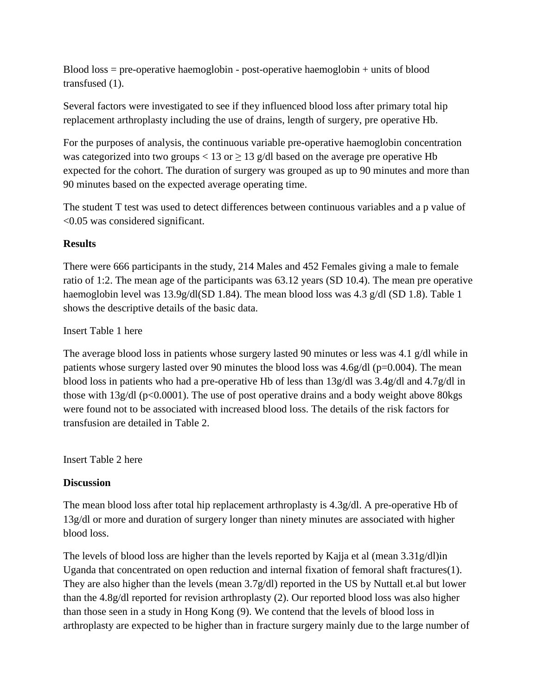Blood loss = pre-operative haemoglobin - post-operative haemoglobin + units of blood transfused (1).

Several factors were investigated to see if they influenced blood loss after primary total hip replacement arthroplasty including the use of drains, length of surgery, pre operative Hb.

For the purposes of analysis, the continuous variable pre-operative haemoglobin concentration was categorized into two groups < 13 or  $\geq$  13 g/dl based on the average pre operative Hb expected for the cohort. The duration of surgery was grouped as up to 90 minutes and more than 90 minutes based on the expected average operating time.

The student T test was used to detect differences between continuous variables and a p value of <0.05 was considered significant.

## **Results**

There were 666 participants in the study, 214 Males and 452 Females giving a male to female ratio of 1:2. The mean age of the participants was 63.12 years (SD 10.4). The mean pre operative haemoglobin level was 13.9g/dl(SD 1.84). The mean blood loss was 4.3 g/dl (SD 1.8). Table 1 shows the descriptive details of the basic data.

## Insert Table 1 here

The average blood loss in patients whose surgery lasted 90 minutes or less was 4.1 g/dl while in patients whose surgery lasted over 90 minutes the blood loss was  $4.6g/dl$  (p=0.004). The mean blood loss in patients who had a pre-operative Hb of less than 13g/dl was 3.4g/dl and 4.7g/dl in those with  $13g/dl$  (p<0.0001). The use of post operative drains and a body weight above 80kgs were found not to be associated with increased blood loss. The details of the risk factors for transfusion are detailed in Table 2.

Insert Table 2 here

# **Discussion**

The mean blood loss after total hip replacement arthroplasty is 4.3g/dl. A pre-operative Hb of 13g/dl or more and duration of surgery longer than ninety minutes are associated with higher blood loss.

The levels of blood loss are higher than the levels reported by Kajja et al (mean  $3.31g/d$ l)in Uganda that concentrated on open reduction and internal fixation of femoral shaft fractures(1). They are also higher than the levels (mean 3.7g/dl) reported in the US by Nuttall et.al but lower than the 4.8g/dl reported for revision arthroplasty (2). Our reported blood loss was also higher than those seen in a study in Hong Kong (9). We contend that the levels of blood loss in arthroplasty are expected to be higher than in fracture surgery mainly due to the large number of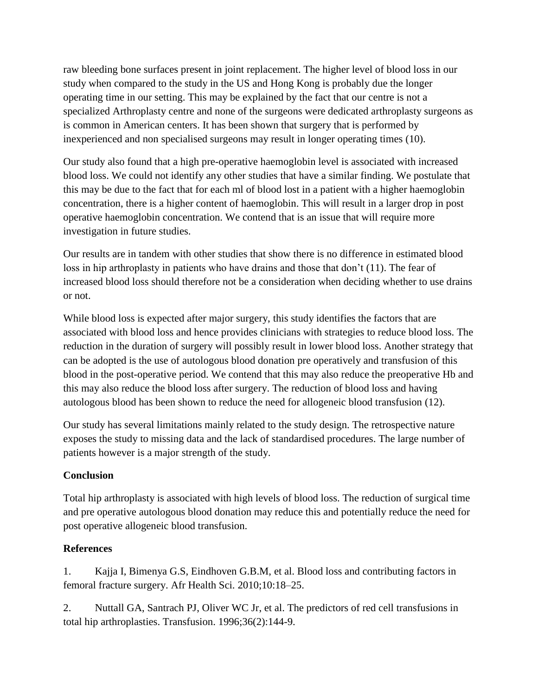raw bleeding bone surfaces present in joint replacement. The higher level of blood loss in our study when compared to the study in the US and Hong Kong is probably due the longer operating time in our setting. This may be explained by the fact that our centre is not a specialized Arthroplasty centre and none of the surgeons were dedicated arthroplasty surgeons as is common in American centers. It has been shown that surgery that is performed by inexperienced and non specialised surgeons may result in longer operating times (10).

Our study also found that a high pre-operative haemoglobin level is associated with increased blood loss. We could not identify any other studies that have a similar finding. We postulate that this may be due to the fact that for each ml of blood lost in a patient with a higher haemoglobin concentration, there is a higher content of haemoglobin. This will result in a larger drop in post operative haemoglobin concentration. We contend that is an issue that will require more investigation in future studies.

Our results are in tandem with other studies that show there is no difference in estimated blood loss in hip arthroplasty in patients who have drains and those that don't (11). The fear of increased blood loss should therefore not be a consideration when deciding whether to use drains or not.

While blood loss is expected after major surgery, this study identifies the factors that are associated with blood loss and hence provides clinicians with strategies to reduce blood loss. The reduction in the duration of surgery will possibly result in lower blood loss. Another strategy that can be adopted is the use of autologous blood donation pre operatively and transfusion of this blood in the post-operative period. We contend that this may also reduce the preoperative Hb and this may also reduce the blood loss after surgery. The reduction of blood loss and having autologous blood has been shown to reduce the need for allogeneic blood transfusion (12).

Our study has several limitations mainly related to the study design. The retrospective nature exposes the study to missing data and the lack of standardised procedures. The large number of patients however is a major strength of the study.

# **Conclusion**

Total hip arthroplasty is associated with high levels of blood loss. The reduction of surgical time and pre operative autologous blood donation may reduce this and potentially reduce the need for post operative allogeneic blood transfusion.

## **References**

1. Kajja I, Bimenya G.S, Eindhoven G.B.M, et al. Blood loss and contributing factors in femoral fracture surgery. Afr Health Sci. 2010;10:18–25.

2. Nuttall GA, Santrach PJ, Oliver WC Jr, et al. The predictors of red cell transfusions in total hip arthroplasties. Transfusion. 1996;36(2):144-9.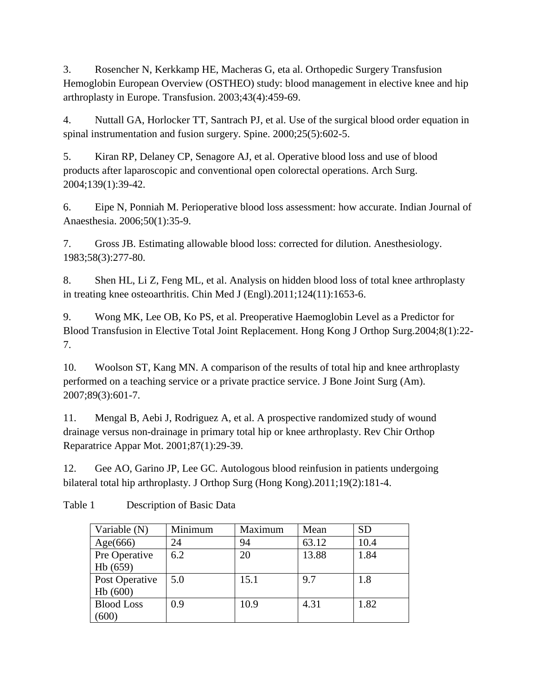3. Rosencher N, Kerkkamp HE, Macheras G, eta al. Orthopedic Surgery Transfusion Hemoglobin European Overview (OSTHEO) study: blood management in elective knee and hip arthroplasty in Europe. Transfusion. 2003;43(4):459-69.

4. Nuttall GA, Horlocker TT, Santrach PJ, et al. Use of the surgical blood order equation in spinal instrumentation and fusion surgery. Spine. 2000;25(5):602-5.

5. Kiran RP, Delaney CP, Senagore AJ, et al. Operative blood loss and use of blood products after laparoscopic and conventional open colorectal operations. Arch Surg. 2004;139(1):39-42.

6. Eipe N, Ponniah M. Perioperative blood loss assessment: how accurate. Indian Journal of Anaesthesia. 2006;50(1):35-9.

7. Gross JB. Estimating allowable blood loss: corrected for dilution. Anesthesiology. 1983;58(3):277-80.

8. Shen HL, Li Z, Feng ML, et al. Analysis on hidden blood loss of total knee arthroplasty in treating knee osteoarthritis. Chin Med J (Engl).2011;124(11):1653-6.

9. Wong MK, Lee OB, Ko PS, et al. Preoperative Haemoglobin Level as a Predictor for Blood Transfusion in Elective Total Joint Replacement. Hong Kong J Orthop Surg.2004;8(1):22- 7.

10. Woolson ST, Kang MN. A comparison of the results of total hip and knee arthroplasty performed on a teaching service or a private practice service. J Bone Joint Surg (Am). 2007;89(3):601-7.

11. Mengal B, Aebi J, Rodriguez A, et al. A prospective randomized study of wound drainage versus non-drainage in primary total hip or knee arthroplasty. Rev Chir Orthop Reparatrice Appar Mot. 2001;87(1):29-39.

12. Gee AO, Garino JP, Lee GC. Autologous blood reinfusion in patients undergoing bilateral total hip arthroplasty. J Orthop Surg (Hong Kong).2011;19(2):181-4.

| Variable $(N)$    | Minimum | Maximum | Mean  | <b>SD</b> |
|-------------------|---------|---------|-------|-----------|
| Age(666)          | 24      | 94      | 63.12 | 10.4      |
| Pre Operative     | 6.2     | 20      | 13.88 | 1.84      |
| Hb (659)          |         |         |       |           |
| Post Operative    | 5.0     | 15.1    | 9.7   | 1.8       |
| Hb(600)           |         |         |       |           |
| <b>Blood Loss</b> | 0.9     | 10.9    | 4.31  | 1.82      |
| (600)             |         |         |       |           |

Table 1 Description of Basic Data